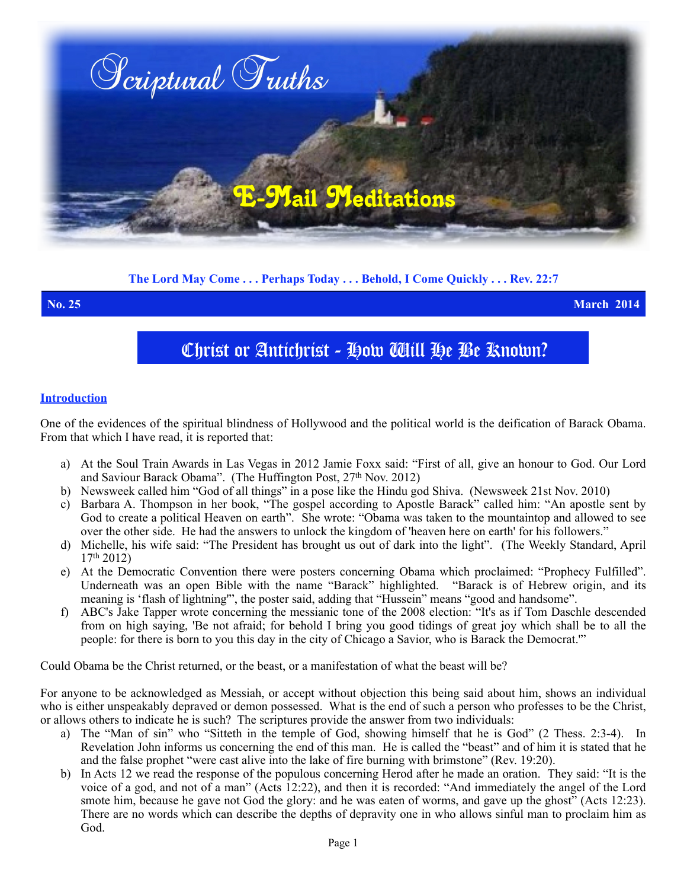

# **The Lord May Come . . . Perhaps Today . . . Behold, I Come Quickly . . . Rev. 22:7**

**No. 25 March 2014**

# Christ or Antichrist - How Will He Be Known?

#### **Introduction**

One of the evidences of the spiritual blindness of Hollywood and the political world is the deification of Barack Obama. From that which I have read, it is reported that:

- a) At the Soul Train Awards in Las Vegas in 2012 Jamie Foxx said: "First of all, give an honour to God. Our Lord and Saviour Barack Obama". (The Huffington Post,  $27<sup>th</sup>$  Nov. 2012)
- b) Newsweek called him "God of all things" in a pose like the Hindu god Shiva. (Newsweek 21st Nov. 2010)
- c) Barbara A. Thompson in her book, "The gospel according to Apostle Barack" called him: "An apostle sent by God to create a political Heaven on earth". She wrote: "Obama was taken to the mountaintop and allowed to see over the other side. He had the answers to unlock the kingdom of 'heaven here on earth' for his followers."
- d) Michelle, his wife said: "The President has brought us out of dark into the light". (The Weekly Standard, April  $17<sup>th</sup> 2012$
- e) At the Democratic Convention there were posters concerning Obama which proclaimed: "Prophecy Fulfilled". Underneath was an open Bible with the name "Barack" highlighted. "Barack is of Hebrew origin, and its meaning is 'flash of lightning'", the poster said, adding that "Hussein" means "good and handsome".
- f) ABC's Jake Tapper wrote concerning the messianic tone of the 2008 election: "It's as if Tom Daschle descended from on high saying, 'Be not afraid; for behold I bring you good tidings of great joy which shall be to all the people: for there is born to you this day in the city of Chicago a Savior, who is Barack the Democrat.'"

Could Obama be the Christ returned, or the beast, or a manifestation of what the beast will be?

For anyone to be acknowledged as Messiah, or accept without objection this being said about him, shows an individual who is either unspeakably depraved or demon possessed. What is the end of such a person who professes to be the Christ, or allows others to indicate he is such? The scriptures provide the answer from two individuals:

- a) The "Man of sin" who "Sitteth in the temple of God, showing himself that he is God" (2 Thess. 2:3-4). In Revelation John informs us concerning the end of this man. He is called the "beast" and of him it is stated that he and the false prophet "were cast alive into the lake of fire burning with brimstone" (Rev. 19:20).
- b) In Acts 12 we read the response of the populous concerning Herod after he made an oration. They said: "It is the voice of a god, and not of a man" (Acts 12:22), and then it is recorded: "And immediately the angel of the Lord smote him, because he gave not God the glory: and he was eaten of worms, and gave up the ghost" (Acts 12:23). There are no words which can describe the depths of depravity one in who allows sinful man to proclaim him as God.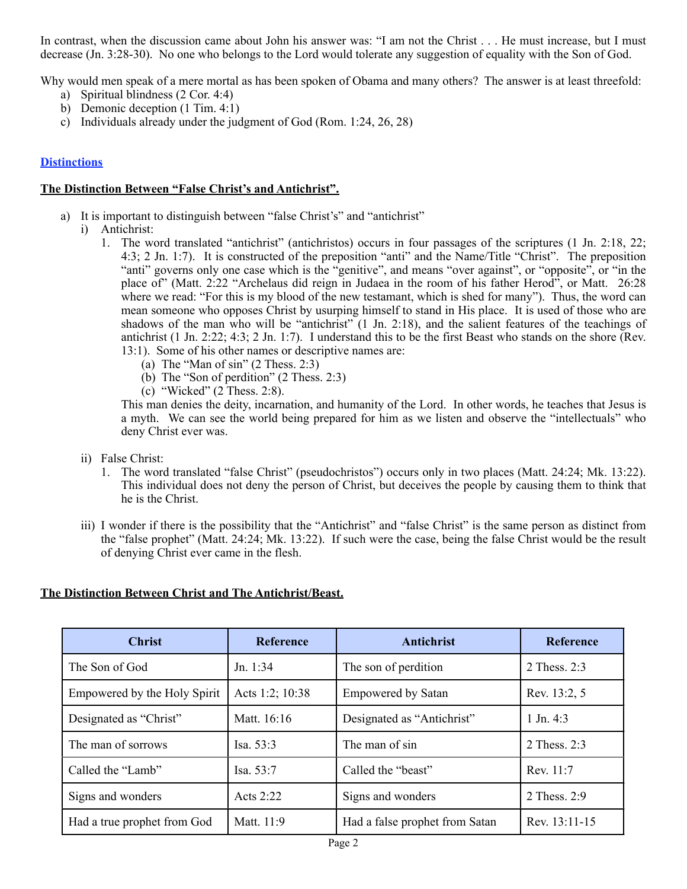In contrast, when the discussion came about John his answer was: "I am not the Christ . . . He must increase, but I must decrease (Jn. 3:28-30). No one who belongs to the Lord would tolerate any suggestion of equality with the Son of God.

Why would men speak of a mere mortal as has been spoken of Obama and many others? The answer is at least threefold:

- a) Spiritual blindness (2 Cor. 4:4)
- b) Demonic deception (1 Tim. 4:1)
- c) Individuals already under the judgment of God (Rom. 1:24, 26, 28)

### **Distinctions**

#### **The Distinction Between "False Christ's and Antichrist".**

- a) It is important to distinguish between "false Christ's" and "antichrist"
	- i) Antichrist:
		- 1. The word translated "antichrist" (antichristos) occurs in four passages of the scriptures (1 Jn. 2:18, 22; 4:3; 2 Jn. 1:7). It is constructed of the preposition "anti" and the Name/Title "Christ". The preposition "anti" governs only one case which is the "genitive", and means "over against", or "opposite", or "in the place of" (Matt. 2:22 "Archelaus did reign in Judaea in the room of his father Herod", or Matt. 26:28 where we read: "For this is my blood of the new testamant, which is shed for many"). Thus, the word can mean someone who opposes Christ by usurping himself to stand in His place. It is used of those who are shadows of the man who will be "antichrist" (1 Jn. 2:18), and the salient features of the teachings of antichrist (1 Jn. 2:22; 4:3; 2 Jn. 1:7). I understand this to be the first Beast who stands on the shore (Rev. 13:1). Some of his other names or descriptive names are:
			- (a) The "Man of  $\sin$ " (2 Thess. 2:3)
			- (b) The "Son of perdition" (2 Thess. 2:3)
			- (c) "Wicked" (2 Thess. 2:8).

This man denies the deity, incarnation, and humanity of the Lord. In other words, he teaches that Jesus is a myth. We can see the world being prepared for him as we listen and observe the "intellectuals" who deny Christ ever was.

- ii) False Christ:
	- 1. The word translated "false Christ" (pseudochristos") occurs only in two places (Matt. 24:24; Mk. 13:22). This individual does not deny the person of Christ, but deceives the people by causing them to think that he is the Christ.
- iii) I wonder if there is the possibility that the "Antichrist" and "false Christ" is the same person as distinct from the "false prophet" (Matt. 24:24; Mk. 13:22). If such were the case, being the false Christ would be the result of denying Christ ever came in the flesh.

# **The Distinction Between Christ and The Antichrist/Beast.**

| <b>Christ</b>                | <b>Reference</b> | Antichrist                     | <b>Reference</b>     |
|------------------------------|------------------|--------------------------------|----------------------|
| The Son of God               | Jn. 1:34         | The son of perdition           | 2 Thess, $2:3$       |
| Empowered by the Holy Spirit | Acts 1:2; 10:38  | <b>Empowered by Satan</b>      | Rev. 13:2, 5         |
| Designated as "Christ"       | Matt. 16:16      | Designated as "Antichrist"     | $1 \text{ Jn. } 4:3$ |
| The man of sorrows           | Isa. $53:3$      | The man of sin                 | 2 Thess. 2:3         |
| Called the "Lamb"            | Isa. 53:7        | Called the "beast"             | Rev. 11:7            |
| Signs and wonders            | Acts $2:22$      | Signs and wonders              | 2 Thess. 2:9         |
| Had a true prophet from God  | Matt. 11:9       | Had a false prophet from Satan | Rev. 13:11-15        |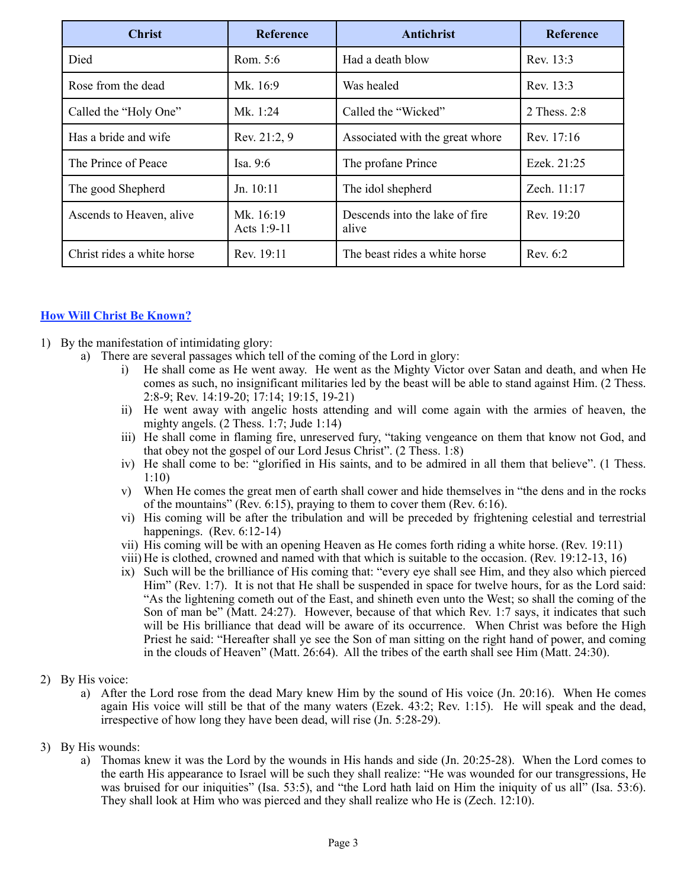| <b>Christ</b>              | <b>Reference</b>         | Antichrist                               | <b>Reference</b> |
|----------------------------|--------------------------|------------------------------------------|------------------|
| Died                       | Rom. $5:6$               | Had a death blow                         | Rev. 13:3        |
| Rose from the dead         | Mk. 16:9                 | Was healed                               | Rev. 13:3        |
| Called the "Holy One"      | Mk. 1:24                 | Called the "Wicked"                      | 2 Thess. 2:8     |
| Has a bride and wife       | Rev. 21:2, 9             | Associated with the great whore          | Rev. 17:16       |
| The Prince of Peace        | Isa. $9:6$               | The profane Prince                       | Ezek. 21:25      |
| The good Shepherd          | Jn. 10:11                | The idol shepherd                        | Zech. 11:17      |
| Ascends to Heaven, alive   | Mk. 16:19<br>Acts 1:9-11 | Descends into the lake of fire.<br>alive | Rev. 19:20       |
| Christ rides a white horse | Rev. 19:11               | The beast rides a white horse            | Rev. 6:2         |

# **How Will Christ Be Known?**

- 1) By the manifestation of intimidating glory:
	- a) There are several passages which tell of the coming of the Lord in glory:
		- i) He shall come as He went away. He went as the Mighty Victor over Satan and death, and when He comes as such, no insignificant militaries led by the beast will be able to stand against Him. (2 Thess. 2:8-9; Rev. 14:19-20; 17:14; 19:15, 19-21)
		- ii) He went away with angelic hosts attending and will come again with the armies of heaven, the mighty angels. (2 Thess. 1:7; Jude 1:14)
		- iii) He shall come in flaming fire, unreserved fury, "taking vengeance on them that know not God, and that obey not the gospel of our Lord Jesus Christ". (2 Thess. 1:8)
		- iv) He shall come to be: "glorified in His saints, and to be admired in all them that believe". (1 Thess. 1:10)
		- v) When He comes the great men of earth shall cower and hide themselves in "the dens and in the rocks of the mountains" (Rev. 6:15), praying to them to cover them (Rev. 6:16).
		- vi) His coming will be after the tribulation and will be preceded by frightening celestial and terrestrial happenings. (Rev. 6:12-14)
		- vii) His coming will be with an opening Heaven as He comes forth riding a white horse. (Rev. 19:11)
		- viii) He is clothed, crowned and named with that which is suitable to the occasion. (Rev. 19:12-13, 16)
		- ix) Such will be the brilliance of His coming that: "every eye shall see Him, and they also which pierced Him" (Rev. 1:7). It is not that He shall be suspended in space for twelve hours, for as the Lord said: "As the lightening cometh out of the East, and shineth even unto the West; so shall the coming of the Son of man be" (Matt. 24:27). However, because of that which Rev. 1:7 says, it indicates that such will be His brilliance that dead will be aware of its occurrence. When Christ was before the High Priest he said: "Hereafter shall ye see the Son of man sitting on the right hand of power, and coming in the clouds of Heaven" (Matt. 26:64). All the tribes of the earth shall see Him (Matt. 24:30).
- 2) By His voice:
	- a) After the Lord rose from the dead Mary knew Him by the sound of His voice (Jn. 20:16). When He comes again His voice will still be that of the many waters (Ezek. 43:2; Rev. 1:15). He will speak and the dead, irrespective of how long they have been dead, will rise (Jn. 5:28-29).
- 3) By His wounds:
	- a) Thomas knew it was the Lord by the wounds in His hands and side (Jn. 20:25-28). When the Lord comes to the earth His appearance to Israel will be such they shall realize: "He was wounded for our transgressions, He was bruised for our iniquities" (Isa. 53:5), and "the Lord hath laid on Him the iniquity of us all" (Isa. 53:6). They shall look at Him who was pierced and they shall realize who He is (Zech. 12:10).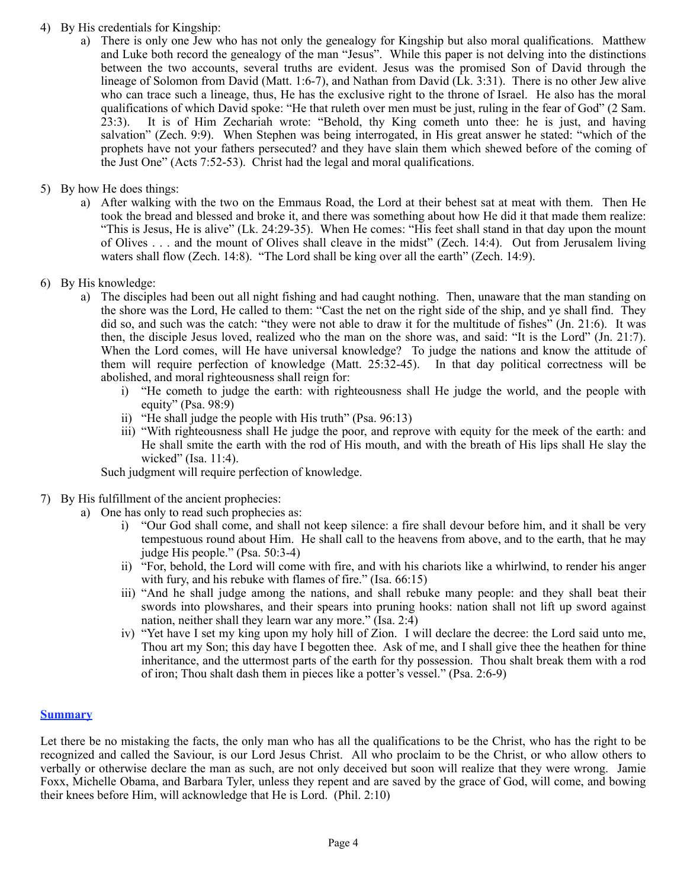### 4) By His credentials for Kingship:

- a) There is only one Jew who has not only the genealogy for Kingship but also moral qualifications. Matthew and Luke both record the genealogy of the man "Jesus". While this paper is not delving into the distinctions between the two accounts, several truths are evident. Jesus was the promised Son of David through the lineage of Solomon from David (Matt. 1:6-7), and Nathan from David (Lk. 3:31). There is no other Jew alive who can trace such a lineage, thus, He has the exclusive right to the throne of Israel. He also has the moral qualifications of which David spoke: "He that ruleth over men must be just, ruling in the fear of God" (2 Sam. 23:3). It is of Him Zechariah wrote: "Behold, thy King cometh unto thee: he is just, and having salvation" (Zech. 9:9). When Stephen was being interrogated, in His great answer he stated: "which of the prophets have not your fathers persecuted? and they have slain them which shewed before of the coming of the Just One" (Acts 7:52-53). Christ had the legal and moral qualifications.
- 5) By how He does things:
	- a) After walking with the two on the Emmaus Road, the Lord at their behest sat at meat with them. Then He took the bread and blessed and broke it, and there was something about how He did it that made them realize: "This is Jesus, He is alive" (Lk. 24:29-35). When He comes: "His feet shall stand in that day upon the mount of Olives . . . and the mount of Olives shall cleave in the midst" (Zech. 14:4). Out from Jerusalem living waters shall flow (Zech. 14:8). "The Lord shall be king over all the earth" (Zech. 14:9).
- 6) By His knowledge:
	- a) The disciples had been out all night fishing and had caught nothing. Then, unaware that the man standing on the shore was the Lord, He called to them: "Cast the net on the right side of the ship, and ye shall find. They did so, and such was the catch: "they were not able to draw it for the multitude of fishes" (Jn. 21:6). It was then, the disciple Jesus loved, realized who the man on the shore was, and said: "It is the Lord" (Jn. 21:7). When the Lord comes, will He have universal knowledge? To judge the nations and know the attitude of them will require perfection of knowledge (Matt. 25:32-45). In that day political correctness will be abolished, and moral righteousness shall reign for:
		- i) "He cometh to judge the earth: with righteousness shall He judge the world, and the people with equity" (Psa. 98:9)
		- ii) "He shall judge the people with His truth" (Psa. 96:13)
		- iii) "With righteousness shall He judge the poor, and reprove with equity for the meek of the earth: and He shall smite the earth with the rod of His mouth, and with the breath of His lips shall He slay the wicked" (Isa. 11:4).

Such judgment will require perfection of knowledge.

- 7) By His fulfillment of the ancient prophecies:
	- a) One has only to read such prophecies as:
		- i) "Our God shall come, and shall not keep silence: a fire shall devour before him, and it shall be very tempestuous round about Him. He shall call to the heavens from above, and to the earth, that he may judge His people." (Psa. 50:3-4)
		- ii) "For, behold, the Lord will come with fire, and with his chariots like a whirlwind, to render his anger with fury, and his rebuke with flames of fire." (Isa. 66:15)
		- iii) "And he shall judge among the nations, and shall rebuke many people: and they shall beat their swords into plowshares, and their spears into pruning hooks: nation shall not lift up sword against nation, neither shall they learn war any more." (Isa. 2:4)
		- iv) "Yet have I set my king upon my holy hill of Zion. I will declare the decree: the Lord said unto me, Thou art my Son; this day have I begotten thee. Ask of me, and I shall give thee the heathen for thine inheritance, and the uttermost parts of the earth for thy possession. Thou shalt break them with a rod of iron; Thou shalt dash them in pieces like a potter's vessel." (Psa. 2:6-9)

#### **Summary**

Let there be no mistaking the facts, the only man who has all the qualifications to be the Christ, who has the right to be recognized and called the Saviour, is our Lord Jesus Christ. All who proclaim to be the Christ, or who allow others to verbally or otherwise declare the man as such, are not only deceived but soon will realize that they were wrong. Jamie Foxx, Michelle Obama, and Barbara Tyler, unless they repent and are saved by the grace of God, will come, and bowing their knees before Him, will acknowledge that He is Lord. (Phil. 2:10)